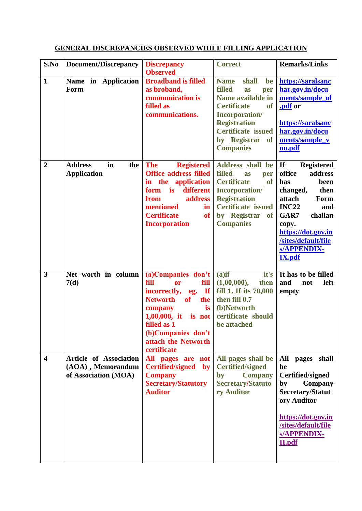## **S.No Document/Discrepancy Discrepancy Observed Correct Remarks/Links 1 Name in Application Form Broadband is filled as broband, communication is filled as communications. Name shall be filled as per Name available in Certificate of Incorporation/ Registration Certificate issued by Registrar of Companies [https://saralsanc](https://saralsanchar.gov.in/documents/sample_ul.pdf) [har.gov.in/docu](https://saralsanchar.gov.in/documents/sample_ul.pdf) [ments/sample\\_ul](https://saralsanchar.gov.in/documents/sample_ul.pdf) [.pdf](https://saralsanchar.gov.in/documents/sample_ul.pdf) or [https://saralsanc](https://saralsanchar.gov.in/documents/sample_vno.pdf) [har.gov.in/docu](https://saralsanchar.gov.in/documents/sample_vno.pdf) [ments/sample\\_v](https://saralsanchar.gov.in/documents/sample_vno.pdf) [no.pdf](https://saralsanchar.gov.in/documents/sample_vno.pdf) 2 Address in the Application The Registered Office address filled in the application form is different from address mentioned in Certificate of Incorporation Address shall be filled as per Certificate of Incorporation/ Registration Certificate issued by Registrar of Companies If Registered office address has been changed, then attach Form INC22 and GAR7 challan copy. [https://dot.gov.in](https://dot.gov.in/sites/default/files/APPENDIX-IX.pdf) [/sites/default/file](https://dot.gov.in/sites/default/files/APPENDIX-IX.pdf) [s/APPENDIX-](https://dot.gov.in/sites/default/files/APPENDIX-IX.pdf)[IX.pdf](https://dot.gov.in/sites/default/files/APPENDIX-IX.pdf) 3 Net worth in column 7(d) (a)Companies don't fill or fill incorrectly, eg. If Networth of the company is 1,00,000, it is not filled as 1 (b)Companies don't attach the Networth certificate (a)if it's (1,00,000), then fill 1. If its 70,000 then fill 0.7 (b)Networth certificate should be attached It has to be filled and not left empty 4 Article of Association (AOA) , Memorandum of Association (MOA) All pages are not Certified/signed by Company Secretary/Statutory Auditor All pages shall be Certified/signed by Company Secretary/Statuto ry Auditor All pages shall be Certified/signed by Company Secretary/Statut ory Auditor [https://dot.gov.in](https://dot.gov.in/sites/default/files/APPENDIX-II.pdf) [/sites/default/file](https://dot.gov.in/sites/default/files/APPENDIX-II.pdf) [s/APPENDIX-](https://dot.gov.in/sites/default/files/APPENDIX-II.pdf)[II.pdf](https://dot.gov.in/sites/default/files/APPENDIX-II.pdf)**

## **GENERAL DISCREPANCIES OBSERVED WHILE FILLING APPLICATION**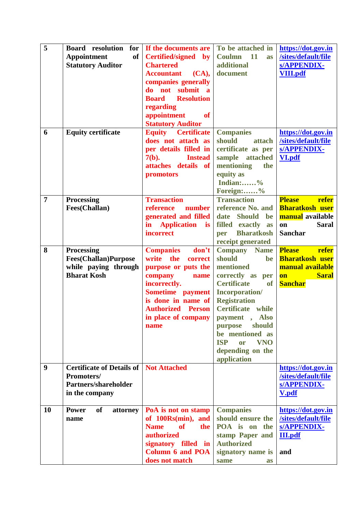| 5              | <b>Board</b> resolution<br>for<br>of<br><b>Appointment</b><br><b>Statutory Auditor</b>         | If the documents are<br>Certified/signed by<br><b>Chartered</b><br><b>Accountant</b><br>(CA),<br>companies generally<br>do not submit a<br><b>Resolution</b><br><b>Board</b><br>regarding                           | To be attached in<br>Coulmn 11<br>as<br>additional<br>document                                                                                                                                                                                                                                                    | https://dot.gov.in<br>/sites/default/file<br>s/APPENDIX-<br><b>VIII.pdf</b>                                         |
|----------------|------------------------------------------------------------------------------------------------|---------------------------------------------------------------------------------------------------------------------------------------------------------------------------------------------------------------------|-------------------------------------------------------------------------------------------------------------------------------------------------------------------------------------------------------------------------------------------------------------------------------------------------------------------|---------------------------------------------------------------------------------------------------------------------|
| 6              | <b>Equity certificate</b>                                                                      | appointment<br><b>of</b><br><b>Statutory Auditor</b><br><b>Equity Certificate</b><br>does not attach as<br>per details filled in<br>$7(b)$ .<br><b>Instead</b><br>attaches details of<br>promotors                  | <b>Companies</b><br>should<br>attach<br>certificate as per<br>sample attached<br>mentioning<br>the<br>equity as<br>Indian:%<br>Foreign:%                                                                                                                                                                          | https://dot.gov.in<br>/sites/default/file<br><b>s/APPENDIX-</b><br><b>VI.pdf</b>                                    |
| $\overline{7}$ | <b>Processing</b><br>Fees(Challan)                                                             | <b>Transaction</b><br>reference<br>number<br>generated and filled<br>$\mathbf{in}$<br><b>Application</b><br><i>is</i><br>incorrect                                                                                  | <b>Transaction</b><br>reference No. and<br>date Should<br>be<br>filled exactly<br>as<br><b>Bharatkosh</b><br>per<br>receipt generated                                                                                                                                                                             | refer<br><b>Please</b><br><b>Bharatkosh user</b><br><b>manual</b> available<br><b>Saral</b><br>on<br><b>Sanchar</b> |
| 8              | <b>Processing</b><br><b>Fees(Challan)Purpose</b><br>while paying through<br><b>Bharat Kosh</b> | don't<br><b>Companies</b><br>write<br>the<br>correct<br>purpose or puts the<br>company<br>name<br>incorrectly.<br>Sometime payment<br>is done in name of<br><b>Authorized Person</b><br>in place of company<br>name | <b>Company</b> Name<br>should<br>be<br>mentioned<br>correctly as<br>per<br><b>Certificate</b><br>of<br><b>Incorporation/</b><br><b>Registration</b><br>Certificate while<br>payment<br>, Also<br>should<br>purpose<br>be mentioned as<br><b>VNO</b><br><b>ISP</b><br><b>or</b><br>depending on the<br>application | <b>Please</b><br>refer<br><b>Bharatkosh user</b><br>manual available<br><b>Saral</b><br><b>on</b><br><b>Sanchar</b> |
| 9              | <b>Certificate of Details of</b><br>Promoters/<br>Partners/shareholder<br>in the company       | <b>Not Attached</b>                                                                                                                                                                                                 |                                                                                                                                                                                                                                                                                                                   | https://dot.gov.in<br>/sites/default/file<br>s/APPENDIX-<br><b>V.pdf</b>                                            |
| 10             | <b>Power</b><br><b>of</b><br>attorney<br>name                                                  | PoA is not on stamp<br>of 100Rs(min), and<br><b>of</b><br><b>Name</b><br>the<br>authorized<br>signatory filled in<br><b>Column 6 and POA</b><br>does not match                                                      | <b>Companies</b><br>should ensure the<br>POA is on<br>the<br>stamp Paper and<br><b>Authorized</b><br>signatory name is<br>same<br>as                                                                                                                                                                              | https://dot.gov.in<br>/sites/default/file<br>s/APPENDIX-<br><b>III.pdf</b><br>and                                   |